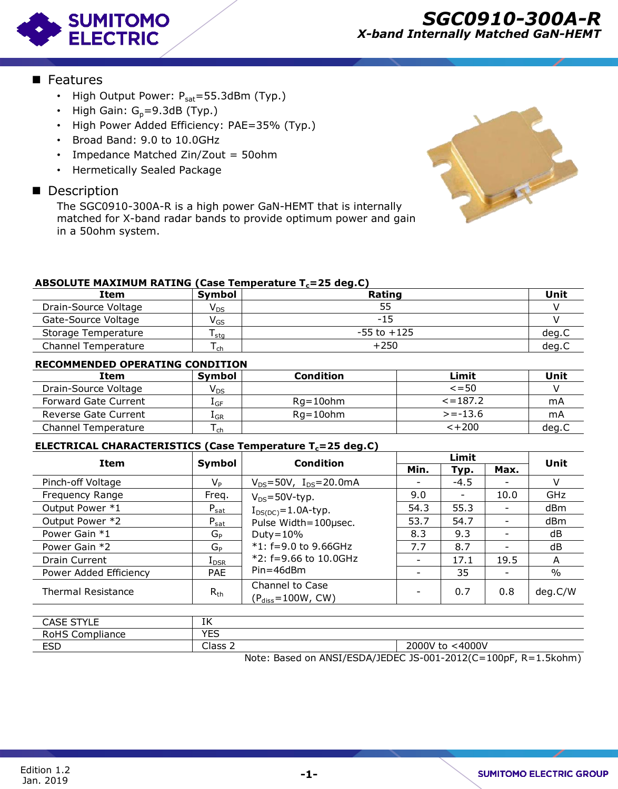

### **Features**

- High Output Power:  $P_{sat} = 55.3$ dBm (Typ.)
- High Gain:  $G_p = 9.3dB$  (Typ.)
- High Power Added Efficiency: PAE=35% (Typ.)
- Broad Band: 9.0 to 10.0GHz
- Impedance Matched Zin/Zout = 50ohm
- Hermetically Sealed Package

### Description

The SGC0910-300A-R is a high power GaN-HEMT that is internally matched for X-band radar bands to provide optimum power and gain in a 50ohm system.



### **ABSOLUTE MAXIMUM RATING (Case Temperature Tc=25 deg.C)**

| Item                       | <b>Symbol</b>              | Rating          | Unit  |
|----------------------------|----------------------------|-----------------|-------|
| Drain-Source Voltage       | $\mathsf{V}_{\mathsf{DS}}$ |                 |       |
| Gate-Source Voltage        | $\mathsf{V}_{\mathsf{GS}}$ | -15             |       |
| Storage Temperature        | sta                        | $-55$ to $+125$ | deg.C |
| <b>Channel Temperature</b> | <sub>ch</sub>              | $+250$          | deg.C |

### **RECOMMENDED OPERATING CONDITION**

| _ _ _ _ _ _ _ _ _ _ _ _ _ _ _ _ _ _ _  | - 964                      |                  |               | ---   |  |
|----------------------------------------|----------------------------|------------------|---------------|-------|--|
| Channel Temperature                    | l ch                       | $+250$           | deg.C         |       |  |
| <b>RECOMMENDED OPERATING CONDITION</b> |                            |                  |               |       |  |
| Item                                   | <b>Symbol</b>              | <b>Condition</b> | Limit         | Unit  |  |
| Drain-Source Voltage                   | $\mathsf{V}_{\mathsf{DS}}$ |                  | $\leq$ = 50   |       |  |
| <b>Forward Gate Current</b>            | $1_{GF}$                   | $Rq = 10$ ohm    | $\le$ = 187.2 | mA    |  |
| Reverse Gate Current                   | $1_{GR}$                   | $Rq = 10$ ohm    | $>= -13.6$    | mA    |  |
| Channel Temperature                    | ch                         |                  | $< +200$      | deg.C |  |

### **ELECTRICAL CHARACTERISTICS (Case Temperature Tc=25 deg.C)**

| <b>Item</b>               | Symbol         | <b>Condition</b>                           |                          | Limit  |                          |               |
|---------------------------|----------------|--------------------------------------------|--------------------------|--------|--------------------------|---------------|
|                           |                |                                            | Min.                     | Typ.   | Max.                     | Unit          |
| Pinch-off Voltage         | $V_P$          | $V_{DS} = 50V$ , $I_{DS} = 20.0 \text{mA}$ |                          | $-4.5$ |                          | V             |
| Frequency Range           | Freq.          | $V_{DS} = 50V$ -typ.                       | 9.0                      | -      | 10.0                     | <b>GHz</b>    |
| Output Power *1           | $P_{sat}$      | $I_{DS(DC)} = 1.0A$ -typ.                  | 54.3                     | 55.3   |                          | dBm           |
| Output Power *2           | $P_{sat}$      | Pulse Width=100µsec.                       | 53.7                     | 54.7   | $\qquad \qquad -$        | dBm           |
| Power Gain *1             | G <sub>P</sub> | Duty= $10\%$                               | 8.3                      | 9.3    | $\overline{\phantom{a}}$ | dB            |
| Power Gain *2             | GP             | $*1: f=9.0$ to 9.66GHz                     | 7.7                      | 8.7    |                          | dB            |
| <b>Drain Current</b>      | $I_{DSR}$      | $*2: f=9.66$ to 10.0GHz                    | $\overline{\phantom{a}}$ | 17.1   | 19.5                     | A             |
| Power Added Efficiency    | <b>PAE</b>     | $Pin=46dBm$                                | $\overline{\phantom{0}}$ | 35     | $\qquad \qquad$          | $\frac{0}{0}$ |
| <b>Thermal Resistance</b> | $R_{th}$       | Channel to Case<br>$(Pdiss=100W, CW)$      |                          | 0.7    | 0.8                      | deg.C/W       |
|                           |                |                                            |                          |        |                          |               |
| <b>CASE STYLE</b>         | ΙK             |                                            |                          |        |                          |               |
| <b>RoHS Compliance</b>    | <b>YES</b>     |                                            |                          |        |                          |               |

| CACE<br>CTVIF<br>CAJE.<br>╶<br>ັບເ              | 7.7<br>π          |                         |
|-------------------------------------------------|-------------------|-------------------------|
| रेoHS<br>$\overline{\phantom{0}}$<br>Compliance | <b>VEC</b><br>ر_∟ |                         |
| <b>ESD</b>                                      | Clace.<br>כנוסי   | <4000V<br>$\angle 000V$ |

Note: Based on ANSI/ESDA/JEDEC JS-001-2012(C=100pF, R=1.5kohm)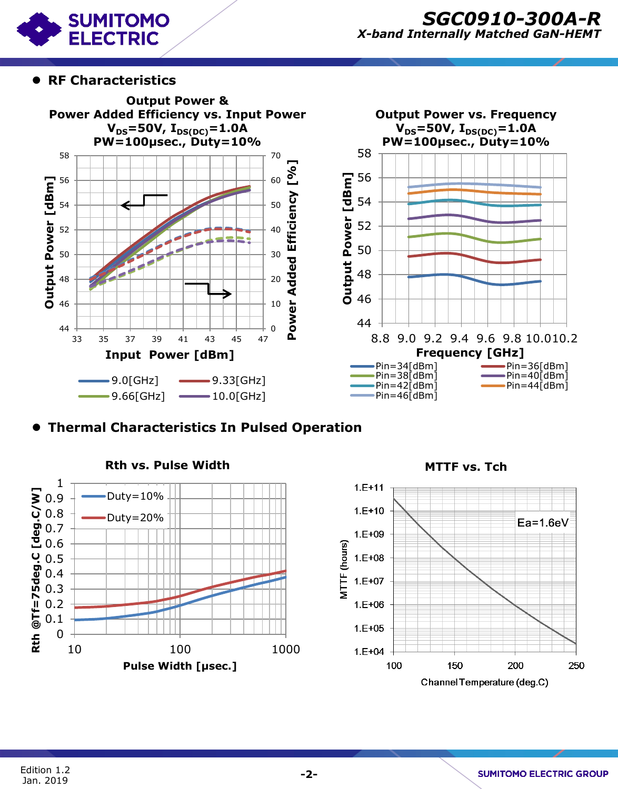

# *SGC0910-300A-R X-band Internally Matched GaN-HEMT*

## **RF Characteristics**





# **Thermal Characteristics In Pulsed Operation**



**Rth vs. Pulse Width MTTF vs. Tch**

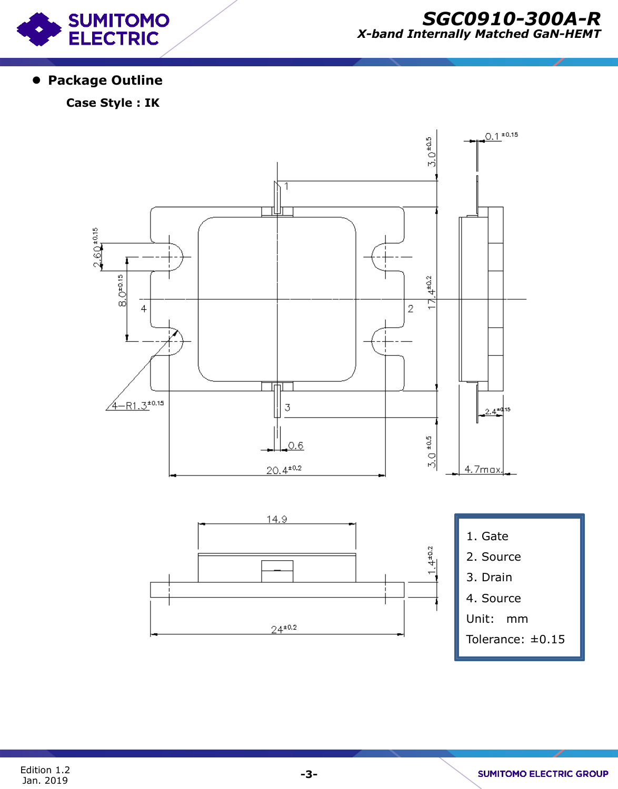

# *SGC0910-300A-R X-band Internally Matched GaN-HEMT*

# **Package Outline**

# **Case Style : IK**